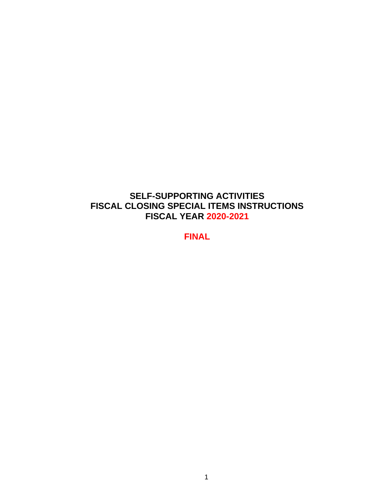## **SELF-SUPPORTING ACTIVITIES FISCAL CLOSING SPECIAL ITEMS INSTRUCTIONS FISCAL YEAR 2020-2021**

**FINAL**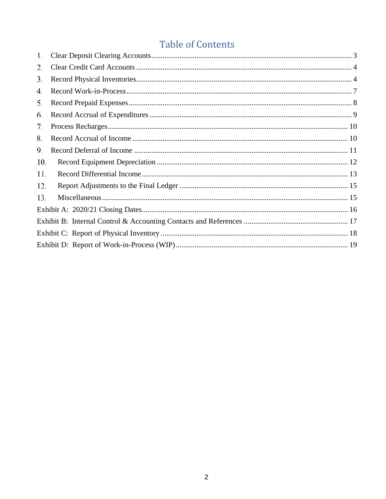# **Table of Contents**

| 1.  |  |
|-----|--|
| 2.  |  |
| 3.  |  |
| 4.  |  |
| 5.  |  |
| 6.  |  |
| 7.  |  |
| 8.  |  |
| 9.  |  |
| 10. |  |
| 11. |  |
| 12. |  |
| 13. |  |
|     |  |
|     |  |
|     |  |
|     |  |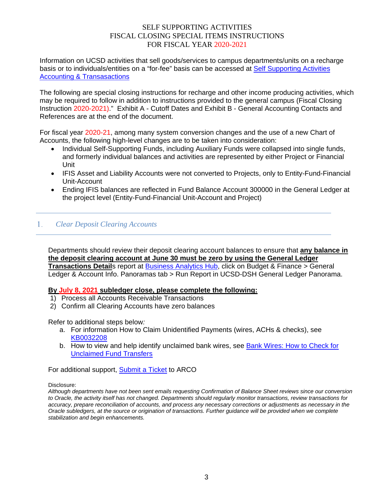## SELF SUPPORTING ACTIVITIES FISCAL CLOSING SPECIAL ITEMS INSTRUCTIONS FOR FISCAL YEAR 2020-2021

Information on UCSD activities that sell goods/services to campus departments/units on a recharge basis or to individuals/entities on a "for-fee" basis can be accessed at [Self Supporting Activities](https://blink.ucsd.edu/finance/accounting/SSA/)  [Accounting & Transasactions](https://blink.ucsd.edu/finance/accounting/SSA/)

The following are special closing instructions for recharge and other income producing activities, which may be required to follow in addition to instructions provided to the general campus (Fiscal Closing Instruction 2020-2021)." Exhibit A - Cutoff Dates and Exhibit B - General Accounting Contacts and References are at the end of the document.

For fiscal year 2020-21, among many system conversion changes and the use of a new Chart of Accounts, the following high-level changes are to be taken into consideration:

- Individual Self-Supporting Funds, including Auxiliary Funds were collapsed into single funds, and formerly individual balances and activities are represented by either Project or Financial Unit
- IFIS Asset and Liability Accounts were not converted to Projects, only to Entity-Fund-Financial Unit-Account
- <span id="page-2-0"></span>• Ending IFIS balances are reflected in Fund Balance Account 300000 in the General Ledger at the project level (Entity-Fund-Financial Unit-Account and Project)

#### $1.$ *Clear Deposit Clearing Accounts*

Departments should review their deposit clearing account balances to ensure that **any balance in the deposit clearing account at June 30 must be zero by using the General Ledger Transactions Details report at <b>Business Analytics Hub**, click on Budget & Finance > General Ledger & Account Info. Panoramas tab > Run Report in UCSD-DSH General Ledger Panorama.

## **By July 8, 2021 subledger close, please complete the following:**

- 1) Process all Accounts Receivable Transactions
- 2) Confirm all Clearing Accounts have zero balances

Refer to additional steps below*:*

- a. For information How to Claim Unidentified Payments (wires, ACHs & checks), see [KB0032208](https://support.ucsd.edu/finance?id=kb_article_view&sys_kb_id=3aad7368db266410d4781c79139619bd)
- b. How to view and help identify unclaimed bank wires, see [Bank Wires: How to Check for](https://blink.ucsd.edu/buy-pay/payments/payment-options/wires-drafts/unclaimed.html)  [Unclaimed Fund Transfers](https://blink.ucsd.edu/buy-pay/payments/payment-options/wires-drafts/unclaimed.html)

For additional support, **Submit a Ticket** to ARCO

Disclosure:

*Although departments have not been sent emails requesting Confirmation of Balance Sheet reviews since our conversion to Oracle, the activity itself has not changed. Departments should regularly monitor transactions, review transactions for accuracy, prepare reconciliation of accounts, and process any necessary corrections or adjustments as necessary in the Oracle subledgers, at the source or origination of transactions. Further guidance will be provided when we complete stabilization and begin enhancements.*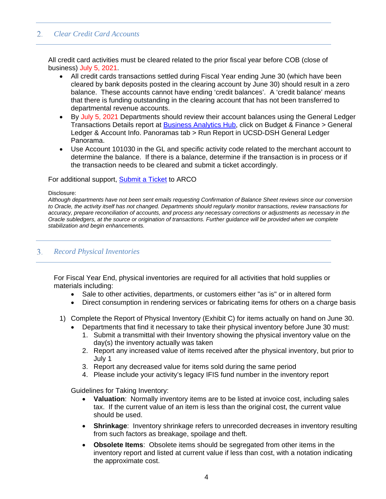#### <span id="page-3-0"></span> $2.$ *Clear Credit Card Accounts*

All credit card activities must be cleared related to the prior fiscal year before COB (close of business) July 5, 2021.

- All credit cards transactions settled during Fiscal Year ending June 30 (which have been cleared by bank deposits posted in the clearing account by June 30) should result in a zero balance. These accounts cannot have ending 'credit balances'. A 'credit balance' means that there is funding outstanding in the clearing account that has not been transferred to departmental revenue accounts.
- By July 5, 2021 Departments should review their account balances using the General Ledger Transactions Details report at [Business Analytics Hub,](https://bah.ucsd.edu/) click on Budget & Finance > General Ledger & Account Info. Panoramas tab > Run Report in UCSD-DSH General Ledger Panorama.
- Use Account 101030 in the GL and specific activity code related to the merchant account to determine the balance. If there is a balance, determine if the transaction is in process or if the transaction needs to be cleared and submit a ticket accordingly.

### For additional support, **Submit a Ticket to ARCO**

#### Disclosure:

*Although departments have not been sent emails requesting Confirmation of Balance Sheet reviews since our conversion to Oracle, the activity itself has not changed. Departments should regularly monitor transactions, review transactions for accuracy, prepare reconciliation of accounts, and process any necessary corrections or adjustments as necessary in the Oracle subledgers, at the source or origination of transactions. Further guidance will be provided when we complete stabilization and begin enhancements.*

#### <span id="page-3-1"></span> $3.$ *Record Physical Inventories*

For Fiscal Year End, physical inventories are required for all activities that hold supplies or materials including:

- Sale to other activities, departments, or customers either "as is" or in altered form
- Direct consumption in rendering services or fabricating items for others on a charge basis
- 1) Complete the Report of Physical Inventory (Exhibit C) for items actually on hand on June 30.
	- Departments that find it necessary to take their physical inventory before June 30 must:
		- 1. Submit a transmittal with their Inventory showing the physical inventory value on the day(s) the inventory actually was taken
		- 2. Report any increased value of items received after the physical inventory, but prior to July 1
		- 3. Report any decreased value for items sold during the same period
		- 4. Please include your activity's legacy IFIS fund number in the inventory report

Guidelines for Taking Inventory:

- **Valuation**:Normally inventory items are to be listed at invoice cost, including sales tax. If the current value of an item is less than the original cost, the current value should be used.
- **Shrinkage:** Inventory shrinkage refers to unrecorded decreases in inventory resulting from such factors as breakage, spoilage and theft.
- **Obsolete Items**: Obsolete items should be segregated from other items in the inventory report and listed at current value if less than cost, with a notation indicating the approximate cost.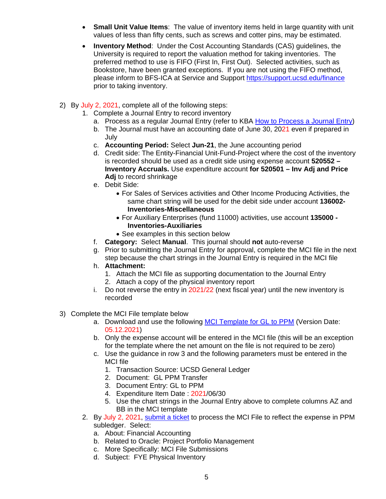- **Small Unit Value Items**: The value of inventory items held in large quantity with unit values of less than fifty cents, such as screws and cotter pins, may be estimated.
- **Inventory Method**: Under the Cost Accounting Standards (CAS) guidelines, the University is required to report the valuation method for taking inventories. The preferred method to use is FIFO (First In, First Out). Selected activities, such as Bookstore, have been granted exceptions. If you are not using the FIFO method, please inform to BFS-ICA at Service and Support<https://support.ucsd.edu/finance> prior to taking inventory.
- 2) By July 2, 2021, complete all of the following steps:
	- 1. Complete a Journal Entry to record inventory
		- a. Process as a regular Journal Entry (refer to KBA [How to Process a Journal Entry\)](https://support.ucsd.edu/finance?id=kb_article_view&sys_kb_id=ddcaaca81b847010df40ed7dee4bcb27)
		- b. The Journal must have an accounting date of June 30, 2021 even if prepared in July
		- c. **Accounting Period:** Select **Jun-21**, the June accounting period
		- d. Credit side: The Entity-Financial Unit-Fund-Project where the cost of the inventory is recorded should be used as a credit side using expense account **520552 – Inventory Accruals.** Use expenditure account **for 520501 – Inv Adj and Price Adj** to record shrinkage
		- e. Debit Side:
			- For Sales of Services activities and Other Income Producing Activities, the same chart string will be used for the debit side under account **136002- Inventories-Miscellaneous**
			- For Auxiliary Enterprises (fund 11000) activities, use account **135000 - Inventories-Auxiliaries**
			- See examples in this section below
		- f. **Category:** Select **Manual**. This journal should **not** auto-reverse
		- g. Prior to submitting the Journal Entry for approval, complete the MCI file in the next step because the chart strings in the Journal Entry is required in the MCI file
		- h. **Attachment:** 
			- 1. Attach the MCI file as supporting documentation to the Journal Entry
			- 2. Attach a copy of the physical inventory report
		- i. Do not reverse the entry in 2021/22 (next fiscal year) until the new inventory is recorded
- 3) Complete the MCI File template below
	- a. Download and use the following [MCI Template for GL to PPM](http://www-bfs.ucsd.edu/BFSupportForms/GA/MCI%20Exception%20Template_GLtoPPM.xlsm) (Version Date: 05.12.2021)
	- b. Only the expense account will be entered in the MCI file (this will be an exception for the template where the net amount on the file is not required to be zero)
	- c. Use the guidance in row 3 and the following parameters must be entered in the MCI file
		- 1. Transaction Source: UCSD General Ledger
		- 2. Document: GL PPM Transfer
		- 3. Document Entry: GL to PPM
		- 4. Expenditure Item Date : 2021/06/30
		- 5. Use the chart strings in the Journal Entry above to complete columns AZ and BB in the MCI template
	- 2. By July 2, 2021, submit [a ticket](https://support.ucsd.edu/finance?id=sc_cat_item&sys_id=48a60e85dbbb8014dbd6f2b6af961999) to process the MCI File to reflect the expense in PPM subledger. Select:
		- a. About: Financial Accounting
		- b. Related to Oracle: Project Portfolio Management
		- c. More Specifically: MCI File Submissions
		- d. Subject: FYE Physical Inventory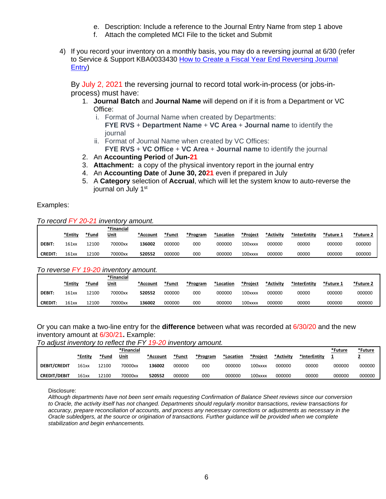- e. Description: Include a reference to the Journal Entry Name from step 1 above
- f. Attach the completed MCI File to the ticket and Submit
- 4) If you record your inventory on a monthly basis, you may do a reversing journal at 6/30 (refer to Service & Support KBA0033430 [How to Create a Fiscal Year End Reversing Journal](https://support.ucsd.edu/finance?id=kb_article_view&sys_kb_id=1279a99fdb7f6450d4781c791396196e&table=kb_knowledge)  [Entry\)](https://support.ucsd.edu/finance?id=kb_article_view&sys_kb_id=1279a99fdb7f6450d4781c791396196e&table=kb_knowledge)

By July 2, 2021 the reversing journal to record total work-in-process (or jobs-inprocess) must have:

- 1. **Journal Batch** and **Journal Name** will depend on if it is from a Department or VC Office:
	- i. Format of Journal Name when created by Departments: **FYE RVS** + **Department Name** + **VC Area** + **Journal name** to identify the journal
	- ii. Format of Journal Name when created by VC Offices: **FYE RVS** + **VC Office** + **VC Area** + **Journal name** to identify the journal
- 2. An **Accounting Period** of **Jun-21**
- 3. **Attachment:** a copy of the physical inventory report in the journal entry
- 4. An **Accounting Date** of **June 30, 2021** even if prepared in July
- 5. A **Category** selection of **Accrual**, which will let the system know to auto-reverse the journal on July 1<sup>st</sup>

Examples:

*To record FY 20-21 inventory amount.*

|               | *Entity | *Fund | *Financial<br>Unit | *Account | *Funct | *Program | *Location | *Project | *Activity | *InterEntity | *Future 1 | *Future 2 |
|---------------|---------|-------|--------------------|----------|--------|----------|-----------|----------|-----------|--------------|-----------|-----------|
| <b>DEBIT:</b> | 161xx   | 12100 | 70000xx            | 136002   | 000000 | 000      | 000000    | 100xxxx  | 000000    | 00000        | 000000    | 000000    |
| <b>CREDIT</b> | 161xx   | L2100 | 70000xx            | 520552   | 000000 | 000      | 000000    | 100xxxx  | 000000    | 00000        | 000000    | 000000    |

### *To reverse FY 19-20 inventory amount.*

|                |         |       | *Financial |          |        |          |           |          |           |              |         |           |
|----------------|---------|-------|------------|----------|--------|----------|-----------|----------|-----------|--------------|---------|-----------|
|                | *Entity | *Fund | Unit       | *Account | *Funct | *Program | *Location | *Project | *Activity | *InterEntity | *Future | ے Future+ |
| <b>DEBIT:</b>  | 161xx   | 12100 | 70000xx    | 520552   | 000000 | 000      | 000000    | 100xxxx  | 000000    | 00000        | 000000  | 000000    |
| <b>CREDIT.</b> | 161xx   | 12100 | 70000xx    | 136002   | 000000 | 000      | 000000    | 100xxxx  | 000000    | 00000        | 000000  | 000000    |

## Or you can make a two-line entry for the **difference** between what was recorded at 6/30/20 and the new inventory amount at 6/30/21**.** Example:

*To adjust inventory to reflect the FY 19-20 inventory amount.*

|                     | *Entity | *Fund | *Financial<br>Unit | *Account | *Funct | *Program | *Location | *Project | *Activity | *InterEntity | *Future | *Future<br>= |
|---------------------|---------|-------|--------------------|----------|--------|----------|-----------|----------|-----------|--------------|---------|--------------|
| <b>DEBIT/CREDIT</b> | 161xx   | 12100 | 70000xx            | 136002   | 000000 | 000      | 000000    | 100xxxx  | 000000    | 00000        | 000000  | 000000       |
| <b>CREDIT/DEBIT</b> | 161xx   | 12100 | 70000xx            | 520552   | 000000 | 000      | 000000    | 100xxxx  | 000000    | 00000        | 000000  | 000000       |

Disclosure:

*Although departments have not been sent emails requesting Confirmation of Balance Sheet reviews since our conversion to Oracle, the activity itself has not changed. Departments should regularly monitor transactions, review transactions for accuracy, prepare reconciliation of accounts, and process any necessary corrections or adjustments as necessary in the Oracle subledgers, at the source or origination of transactions. Further guidance will be provided when we complete stabilization and begin enhancements.*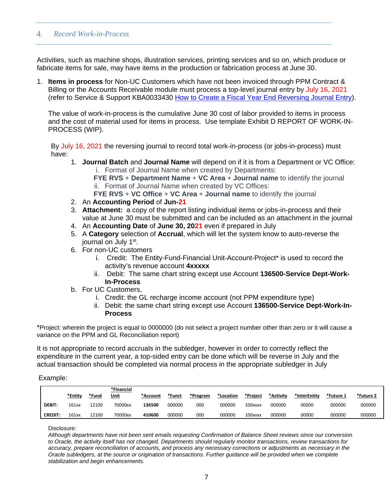#### <span id="page-6-0"></span> $4.$ *Record Work-in-Process*

Activities, such as machine shops, illustration services, printing services and so on, which produce or fabricate items for sale, may have items in the production or fabrication process at June 30.

1. **Items in process** for Non-UC Customers which have not been invoiced through PPM Contract & Billing or the Accounts Receivable module must process a top-level journal entry by July 16, 2021 (refer to Service & Support KBA0033430 [How to Create a Fiscal Year End Reversing Journal Entry\)](https://support.ucsd.edu/finance?id=kb_article_view&sys_kb_id=1279a99fdb7f6450d4781c791396196e&table=kb_knowledge).

The value of work-in-process is the cumulative June 30 cost of labor provided to items in process and the cost of material used for items in process. Use template Exhibit D REPORT OF WORK-IN-PROCESS (WIP).

By July 16, 2021 the reversing journal to record total work-in-process (or jobs-in-process) must have:

1. **Journal Batch** and **Journal Name** will depend on if it is from a Department or VC Office: i. Format of Journal Name when created by Departments:

**FYE RVS** + **Department Name** + **VC Area** + **Journal name** to identify the journal ii. Format of Journal Name when created by VC Offices:

**FYE RVS** + **VC Office** + **VC Area** + **Journal name** to identify the journal

- 2. An **Accounting Period** of **Jun-21**
- 3. **Attachment:** a copy of the report listing individual items or jobs-in-process and their value at June 30 must be submitted and can be included as an attachment in the journal
- 4. An **Accounting Date** of **June 30, 2021** even if prepared in July
- 5. A **Category** selection of **Accrual**, which will let the system know to auto-reverse the journal on July 1<sup>st</sup>.
- 6. For non-UC customers
	- i. Credit: The Entity-Fund-Financial Unit-Account-Project\* is used to record the activity's revenue account **4xxxxx**
	- ii. Debit: The same chart string except use Account **136500-Service Dept-Work-In-Process**
- b. For UC Customers,
	- i. Credit: the GL recharge income account (not PPM expenditure type)
	- ii. Debit: the same chart string except use Account **136500-Service Dept-Work-In-Process**

\*Project: wherein the project is equal to 0000000 (do not select a project number other than zero or it will cause a variance on the PPM and GL Reconciliation report)

It is not appropriate to record accruals in the subledger, however in order to correctly reflect the expenditure in the current year, a top-sided entry can be done which will be reverse in July and the actual transaction should be completed via normal process in the appropriate subledger in July

### Example:

|                | *Entity | *Fund | *Financial<br>Unit | *Account | *Funct | *Program | *Location | *Project | *Activity | *InterEntity | *Future 1 | *Future 2 |
|----------------|---------|-------|--------------------|----------|--------|----------|-----------|----------|-----------|--------------|-----------|-----------|
| <b>DEBIT:</b>  | 161xx   | 2100ء | 70000xx            | 136500   | 000000 | 000      | 000000    | 100xxxx  | 000000    | 00000        | 000000    | 000000    |
| <b>CREDIT:</b> | 161xx   | 12100 | 70000xx            | 410600   | 000000 | 000      | 000000    | 100xxxx  | 000000    | 00000        | 000000    | 000000    |

Disclosure:

*Although departments have not been sent emails requesting Confirmation of Balance Sheet reviews since our conversion to Oracle, the activity itself has not changed. Departments should regularly monitor transactions, review transactions for accuracy, prepare reconciliation of accounts, and process any necessary corrections or adjustments as necessary in the Oracle subledgers, at the source or origination of transactions. Further guidance will be provided when we complete stabilization and begin enhancements.*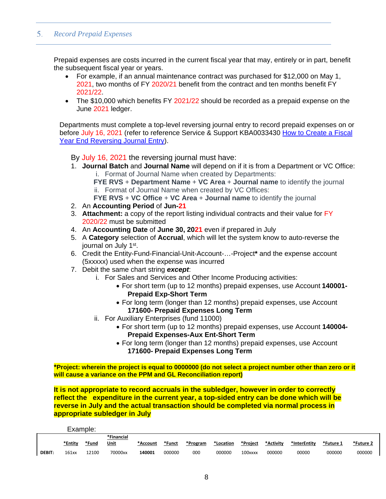#### <span id="page-7-0"></span>*Record Prepaid Expenses* 5.

Prepaid expenses are costs incurred in the current fiscal year that may, entirely or in part, benefit the subsequent fiscal year or years.

- For example, if an annual maintenance contract was purchased for \$12,000 on May 1, 2021, two months of FY 2020/21 benefit from the contract and ten months benefit FY 2021/22.
- The \$10,000 which benefits FY 2021/22 should be recorded as a prepaid expense on the June 2021 ledger.

Departments must complete a top-level reversing journal entry to record prepaid expenses on or before July 16, 2021 (refer to reference Service & Support KBA0033430 [How to Create a Fiscal](https://support.ucsd.edu/finance?id=kb_article_view&sys_kb_id=1279a99fdb7f6450d4781c791396196e&table=kb_knowledge) [Year End Reversing Journal Entry\)](https://support.ucsd.edu/finance?id=kb_article_view&sys_kb_id=1279a99fdb7f6450d4781c791396196e&table=kb_knowledge).

By July 16, 2021 the reversing journal must have:

1. **Journal Batch** and **Journal Name** will depend on if it is from a Department or VC Office: i. Format of Journal Name when created by Departments:

**FYE RVS** + **Department Name** + **VC Area** + **Journal name** to identify the journal ii. Format of Journal Name when created by VC Offices:

**FYE RVS** + **VC Office** + **VC Area** + **Journal name** to identify the journal

- 2. An **Accounting Period** of **Jun-21**
- 3. **Attachment:** a copy of the report listing individual contracts and their value for FY 2020/22 must be submitted
- 4. An **Accounting Date** of **June 30, 2021** even if prepared in July
- 5. A **Category** selection of **Accrual**, which will let the system know to auto-reverse the journal on July 1st.
- 6. Credit the Entity-Fund-Financial-Unit-Account-…-Project**\*** and the expense account (5xxxxx) used when the expense was incurred
- 7. Debit the same chart string *except*:
	- i. For Sales and Services and Other Income Producing activities:
		- For short term (up to 12 months) prepaid expenses, use Account **140001- Prepaid Exp-Short Term**
		- For long term (longer than 12 months) prepaid expenses, use Account **171600- Prepaid Expenses Long Term**
	- ii. For Auxiliary Enterprises (fund 11000)
		- For short term (up to 12 months) prepaid expenses, use Account **140004- Prepaid Expenses-Aux Ent-Short Term**
		- For long term (longer than 12 months) prepaid expenses, use Account **171600- Prepaid Expenses Long Term**

**\*Project: wherein the project is equal to 0000000 (do not select a project number other than zero or it will cause a variance on the PPM and GL Reconciliation report)**

**It is not appropriate to record accruals in the subledger, however in order to correctly reflect the expenditure in the current year, a top-sided entry can be done which will be reverse in July and the actual transaction should be completed via normal process in appropriate subledger in July**

Example:

|               |         |       | *Financial |          |        |          |           |          |           |              |           |           |
|---------------|---------|-------|------------|----------|--------|----------|-----------|----------|-----------|--------------|-----------|-----------|
|               | *Entity | *Fund | Unit       | *Account | *Funct | *Program | *Location | *Project | *Activity | *InterEntity | *Future 1 | - Future* |
| <b>DEBIT:</b> | 161xx   | .2100 | 70000xx    | 140001   | 000000 | 00C      | 000000    | 100xxxx  | 000000    | 00000        | 000000    | 000000    |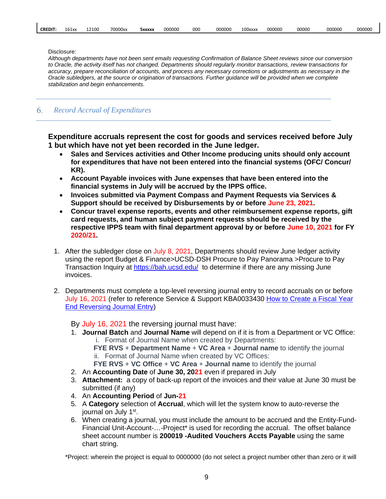|  | <b>CREDIT:</b> | 161xx | 12100 | 70000xx | 5xxxxx | 000000 | 000 | 000000 | 100xxxx | 000000 | 00000 | 000000 | 000000 |
|--|----------------|-------|-------|---------|--------|--------|-----|--------|---------|--------|-------|--------|--------|
|--|----------------|-------|-------|---------|--------|--------|-----|--------|---------|--------|-------|--------|--------|

Disclosure:

*Although departments have not been sent emails requesting Confirmation of Balance Sheet reviews since our conversion to Oracle, the activity itself has not changed. Departments should regularly monitor transactions, review transactions for accuracy, prepare reconciliation of accounts, and process any necessary corrections or adjustments as necessary in the Oracle subledgers, at the source or origination of transactions. Further guidance will be provided when we complete stabilization and begin enhancements.*

#### <span id="page-8-0"></span>6. *Record Accrual of Expenditures*

**Expenditure accruals represent the cost for goods and services received before July 1 but which have not yet been recorded in the June ledger.** 

- **Sales and Services activities and Other Income producing units should only account for expenditures that have not been entered into the financial systems (OFC/ Concur/ KR).**
- **Account Payable invoices with June expenses that have been entered into the financial systems in July will be accrued by the IPPS office.**
- **Invoices submitted via Payment Compass and Payment Requests via Services & Support should be received by Disbursements by or before June 23, 2021.**
- **Concur travel expense reports, events and other reimbursement expense reports, gift card requests, and human subject payment requests should be received by the respective IPPS team with final department approval by or before June 10, 2021 for FY 2020/21.**
- 1. After the subledger close on July 8, 2021, Departments should review June ledger activity using the report Budget & Finance>UCSD-DSH Procure to Pay Panorama >Procure to Pay Transaction Inquiry at <https://bah.ucsd.edu/> to determine if there are any missing June invoices.
- 2. Departments must complete a top-level reversing journal entry to record accruals on or before July 16, 2021 (refer to reference Service & Support KBA0033430 [How to Create a Fiscal Year](https://support.ucsd.edu/finance?id=kb_article_view&sys_kb_id=1279a99fdb7f6450d4781c791396196e&table=kb_knowledge)  [End Reversing Journal Entry\)](https://support.ucsd.edu/finance?id=kb_article_view&sys_kb_id=1279a99fdb7f6450d4781c791396196e&table=kb_knowledge)

By July 16, 2021 the reversing journal must have:

- 1. **Journal Batch** and **Journal Name** will depend on if it is from a Department or VC Office: i. Format of Journal Name when created by Departments:
	- **FYE RVS** + **Department Name** + **VC Area** + **Journal name** to identify the journal ii. Format of Journal Name when created by VC Offices:
	- **FYE RVS** + **VC Office** + **VC Area** + **Journal name** to identify the journal
- 2. An **Accounting Date** of **June 30, 2021** even if prepared in July
- 3. **Attachment:** a copy of back-up report of the invoices and their value at June 30 must be submitted (if any)
- 4. An **Accounting Period** of **Jun-21**
- 5. A **Category** selection of **Accrual**, which will let the system know to auto-reverse the journal on July 1<sup>st</sup>.
- 6. When creating a journal, you must include the amount to be accrued and the Entity-Fund-Financial Unit-Account-…-Project\* is used for recording the accrual. The offset balance sheet account number is **200019 -Audited Vouchers Accts Payable** using the same chart string.

\*Project: wherein the project is equal to 0000000 (do not select a project number other than zero or it will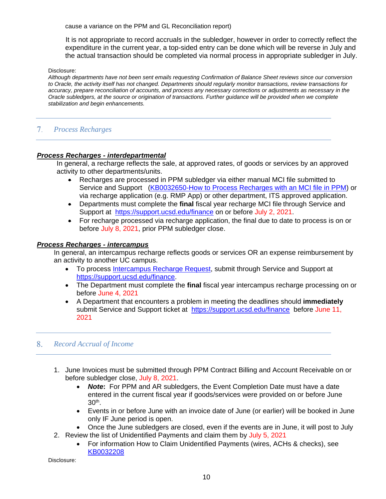cause a variance on the PPM and GL Reconciliation report)

 It is not appropriate to record accruals in the subledger, however in order to correctly reflect the expenditure in the current year, a top-sided entry can be done which will be reverse in July and the actual transaction should be completed via normal process in appropriate subledger in July.

#### Disclosure:

*Although departments have not been sent emails requesting Confirmation of Balance Sheet reviews since our conversion to Oracle, the activity itself has not changed. Departments should regularly monitor transactions, review transactions for accuracy, prepare reconciliation of accounts, and process any necessary corrections or adjustments as necessary in the Oracle subledgers, at the source or origination of transactions. Further guidance will be provided when we complete stabilization and begin enhancements.*

## <span id="page-9-0"></span>*Process Recharges*

### *Process Recharges - interdepartmental*

In general, a recharge reflects the sale, at approved rates, of goods or services by an approved activity to other departments/units.

- Recharges are processed in PPM subledger via either manual MCI file submitted to Service and Support [\(KB0032650-How to Process Recharges with an MCI file in PPM\)](https://support.ucsd.edu/nav_to.do?uri=%2Fkb_view.do%3Fsysparm_article%3DKB0032650) or via recharge application (e.g. RMP App) or other department, ITS approved application.
- Departments must complete the **final** fiscal year recharge MCI file through Service and Support at <https://support.ucsd.edu/finance> on or before July 2, 2021.
- For recharge processed via recharge application, the final due to date to process is on or before July 8, 2021, prior PPM subledger close.

#### *Process Recharges - intercampus*

In general, an intercampus recharge reflects goods or services OR an expense reimbursement by an activity to another UC campus.

- To process Intercampus [Recharge Request,](https://support.ucsd.edu/services?id=sc_cat_item&sys_id=caea8c9cdbb1985006037a131f96191b) submit through Service and Support at [https://support.ucsd.edu/finance.](https://support.ucsd.edu/finance)
- The Department must complete the **final** fiscal year intercampus recharge processing on or before June 4, 2021
- A Department that encounters a problem in meeting the deadlines should **immediately** submit Service and Support ticket at <https://support.ucsd.edu/finance>before June 11, 2021

#### <span id="page-9-1"></span>8. *Record Accrual of Income*

- 1. June Invoices must be submitted through PPM Contract Billing and Account Receivable on or before subledger close, July 8, 2021.
	- *Note***:** For PPM and AR subledgers, the Event Completion Date must have a date entered in the current fiscal year if goods/services were provided on or before June 30th.
	- Events in or before June with an invoice date of June (or earlier) will be booked in June only IF June period is open.
	- Once the June subledgers are closed, even if the events are in June, it will post to July
- 2. Review the list of Unidentified Payments and claim them by July 5, 2021
	- For information How to Claim Unidentified Payments (wires, ACHs & checks), see [KB0032208](https://support.ucsd.edu/finance?id=kb_article_view&sys_kb_id=3aad7368db266410d4781c79139619bd)

Disclosure: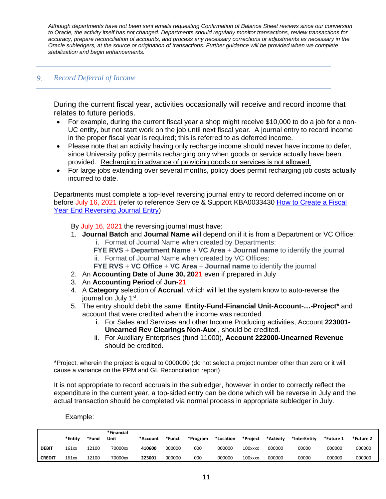*Although departments have not been sent emails requesting Confirmation of Balance Sheet reviews since our conversion to Oracle, the activity itself has not changed. Departments should regularly monitor transactions, review transactions for accuracy, prepare reconciliation of accounts, and process any necessary corrections or adjustments as necessary in the Oracle subledgers, at the source or origination of transactions. Further guidance will be provided when we complete stabilization and begin enhancements.*

## <span id="page-10-0"></span>*Record Deferral of Income*

During the current fiscal year, activities occasionally will receive and record income that relates to future periods.

- For example, during the current fiscal year a shop might receive \$10,000 to do a job for a non-UC entity, but not start work on the job until next fiscal year. A journal entry to record income in the proper fiscal year is required; this is referred to as deferred income.
- Please note that an activity having only recharge income should never have income to defer, since University policy permits recharging only when goods or service actually have been provided. Recharging in advance of providing goods or services is not allowed.
- For large jobs extending over several months, policy does permit recharging job costs actually incurred to date.

Departments must complete a top-level reversing journal entry to record deferred income on or before July 16, 2021 (refer to reference Service & Support KBA0033430 [How to Create a Fiscal](https://support.ucsd.edu/finance?id=kb_article_view&sys_kb_id=1279a99fdb7f6450d4781c791396196e&table=kb_knowledge)  [Year End Reversing Journal Entry\)](https://support.ucsd.edu/finance?id=kb_article_view&sys_kb_id=1279a99fdb7f6450d4781c791396196e&table=kb_knowledge)

By July 16, 2021 the reversing journal must have:

- 1. **Journal Batch** and **Journal Name** will depend on if it is from a Department or VC Office: i. Format of Journal Name when created by Departments:
	- **FYE RVS** + **Department Name** + **VC Area** + **Journal name** to identify the journal ii. Format of Journal Name when created by VC Offices:
	- **FYE RVS** + **VC Office** + **VC Area** + **Journal name** to identify the journal
- 2. An **Accounting Date** of **June 30, 2021** even if prepared in July
- 3. An **Accounting Period** of **Jun-21**
- 4. A **Category** selection of **Accrual**, which will let the system know to auto-reverse the journal on July 1<sup>st</sup>.
- 5. The entry should debit the same **Entity-Fund-Financial Unit-Account-…-Project\*** and account that were credited when the income was recorded
	- i. For Sales and Services and other Income Producing activities, Account **223001- Unearned Rev Clearings Non-Aux** , should be credited.
	- ii. For Auxiliary Enterprises (fund 11000), **Account 222000-Unearned Revenue** should be credited.

\*Project: wherein the project is equal to 0000000 (do not select a project number other than zero or it will cause a variance on the PPM and GL Reconciliation report)

It is not appropriate to record accruals in the subledger, however in order to correctly reflect the expenditure in the current year, a top-sided entry can be done which will be reverse in July and the actual transaction should be completed via normal process in appropriate subledger in July.

Example:

|               | *Entity | *Fund | *Financial<br><u>Unit</u> | *Account | *Funct | *Program | *Location | *Project | *Activity | *InterEntity* | *Future 1 | - Future* |
|---------------|---------|-------|---------------------------|----------|--------|----------|-----------|----------|-----------|---------------|-----------|-----------|
| <b>DEBIT</b>  | 161xx   | 2100  | 70000xx                   | 410600   | 000000 | 000      | 000000    | 100xxxx  | 000000    | 00000         | 000000    | 000000    |
| <b>CREDIT</b> | 161xx   | 12100 | 70000xx                   | 223001   | 000000 | 000      | 000000    | 100xxxx  | 000000    | 00000         | 000000    | 000000    |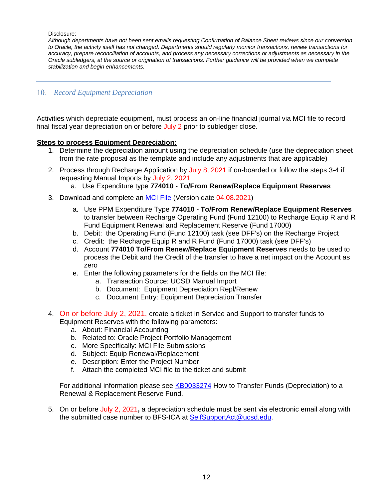Disclosure:

*Although departments have not been sent emails requesting Confirmation of Balance Sheet reviews since our conversion to Oracle, the activity itself has not changed. Departments should regularly monitor transactions, review transactions for accuracy, prepare reconciliation of accounts, and process any necessary corrections or adjustments as necessary in the Oracle subledgers, at the source or origination of transactions. Further guidance will be provided when we complete stabilization and begin enhancements.*

## <span id="page-11-0"></span>*Record Equipment Depreciation*

Activities which depreciate equipment, must process an on-line financial journal via MCI file to record final fiscal year depreciation on or before July 2 prior to subledger close.

## **Steps to process Equipment Depreciation:**

- 1. Determine the depreciation amount using the depreciation schedule (use the depreciation sheet from the rate proposal as the template and include any adjustments that are applicable)
- 2. Process through Recharge Application by July 8, 2021 if on-boarded or follow the steps 3-4 if requesting Manual Imports by July 2, 2021
	- a. Use Expenditure type **774010 - To/From Renew/Replace Equipment Reserves**
- 3. Download and complete an [MCI File](http://www-bfs.ucsd.edu/BFSupportForms/GA/MCITemplate_Recharges.xlsm) (Version date 04.08.2021)
	- a. Use PPM Expenditure Type **774010 - To/From Renew/Replace Equipment Reserves** to transfer between Recharge Operating Fund (Fund 12100) to Recharge Equip R and R Fund Equipment Renewal and Replacement Reserve (Fund 17000)
	- b. Debit: the Operating Fund (Fund 12100) task (see DFF's) on the Recharge Project
	- c. Credit: the Recharge Equip R and R Fund (Fund 17000) task (see DFF's)
	- d. Account **774010 To/From Renew/Replace Equipment Reserves** needs to be used to process the Debit and the Credit of the transfer to have a net impact on the Account as zero
	- e. Enter the following parameters for the fields on the MCI file:
		- a. Transaction Source: UCSD Manual Import
		- b. Document: Equipment Depreciation Repl/Renew
		- c. Document Entry: Equipment Depreciation Transfer
- 4. On or before July 2, 2021, create a ticket in Service and Support to transfer funds to Equipment Reserves with the following parameters:
	- a. About: Financial Accounting
	- b. Related to: Oracle Project Portfolio Management
	- c. More Specifically: MCI File Submissions
	- d. Subject: Equip Renewal/Replacement
	- e. Description: Enter the Project Number
	- f. Attach the completed MCI file to the ticket and submit

For additional information please see [KB0033274](https://support.ucsd.edu/nav_to.do?uri=%2Fkb_view.do%3Fsysparm_article%3DKB0033274) How to Transfer Funds (Depreciation) to a Renewal & Replacement Reserve Fund.

5. On or before July 2, 2021**,** a depreciation schedule must be sent via electronic email along with the submitted case number to BFS-ICA at [SelfSupportAct@ucsd.edu.](mailto:SelfSupportAct@ucsd.edu)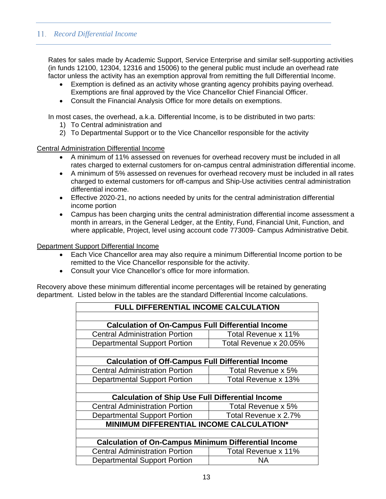## <span id="page-12-0"></span>*Record Differential Income*

Rates for sales made by Academic Support, Service Enterprise and similar self-supporting activities (in funds 12100, 12304, 12316 and 15006) to the general public must include an overhead rate factor unless the activity has an exemption approval from remitting the full Differential Income.

- Exemption is defined as an activity whose granting agency prohibits paying overhead. Exemptions are final approved by the Vice Chancellor Chief Financial Officer.
- Consult the Financial Analysis Office for more details on exemptions.

In most cases, the overhead, a.k.a. Differential Income, is to be distributed in two parts:

- 1) To Central administration and
- 2) To Departmental Support or to the Vice Chancellor responsible for the activity

Central Administration Differential Income

- A minimum of 11% assessed on revenues for overhead recovery must be included in all rates charged to external customers for on-campus central administration differential income.
- A minimum of 5% assessed on revenues for overhead recovery must be included in all rates charged to external customers for off-campus and Ship-Use activities central administration differential income.
- Effective 2020-21, no actions needed by units for the central administration differential income portion
- Campus has been charging units the central administration differential income assessment a month in arrears, in the General Ledger, at the Entity, Fund, Financial Unit, Function, and where applicable, Project, level using account code 773009- Campus Administrative Debit.

## Department Support Differential Income

- Each Vice Chancellor area may also require a minimum Differential Income portion to be remitted to the Vice Chancellor responsible for the activity.
- Consult your Vice Chancellor's office for more information.

Recovery above these minimum differential income percentages will be retained by generating department. Listed below in the tables are the standard Differential Income calculations.

| FULL DIFFERENTIAL INCOME CALCULATION                        |                        |  |  |  |  |  |
|-------------------------------------------------------------|------------------------|--|--|--|--|--|
|                                                             |                        |  |  |  |  |  |
| <b>Calculation of On-Campus Full Differential Income</b>    |                        |  |  |  |  |  |
| <b>Central Administration Portion</b>                       | Total Revenue x 11%    |  |  |  |  |  |
| <b>Departmental Support Portion</b>                         | Total Revenue x 20.05% |  |  |  |  |  |
|                                                             |                        |  |  |  |  |  |
| <b>Calculation of Off-Campus Full Differential Income</b>   |                        |  |  |  |  |  |
| <b>Central Administration Portion</b>                       | Total Revenue x 5%     |  |  |  |  |  |
| <b>Departmental Support Portion</b>                         | Total Revenue x 13%    |  |  |  |  |  |
|                                                             |                        |  |  |  |  |  |
| <b>Calculation of Ship Use Full Differential Income</b>     |                        |  |  |  |  |  |
| <b>Central Administration Portion</b>                       | Total Revenue x 5%     |  |  |  |  |  |
| <b>Departmental Support Portion</b>                         | Total Revenue x 2.7%   |  |  |  |  |  |
| MINIMUM DIFFERENTIAL INCOME CALCULATION*                    |                        |  |  |  |  |  |
|                                                             |                        |  |  |  |  |  |
| <b>Calculation of On-Campus Minimum Differential Income</b> |                        |  |  |  |  |  |
| <b>Central Administration Portion</b>                       | Total Revenue x 11%    |  |  |  |  |  |
| <b>Departmental Support Portion</b>                         | ΝA                     |  |  |  |  |  |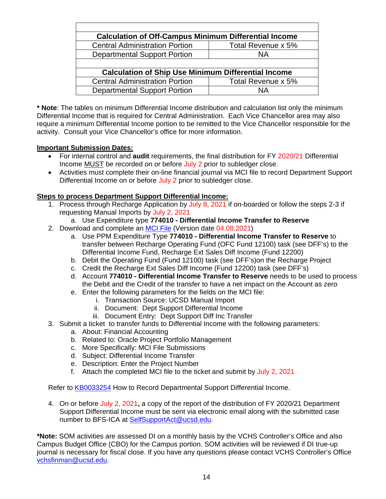| <b>Calculation of Off-Campus Minimum Differential Income</b> |                    |
|--------------------------------------------------------------|--------------------|
| <b>Central Administration Portion</b>                        | Total Revenue x 5% |
| <b>Departmental Support Portion</b>                          | <b>NA</b>          |
| <b>Calculation of Ship Use Minimum Differential Income</b>   |                    |
|                                                              | Total Revenue x 5% |
| <b>Central Administration Portion</b>                        |                    |

**\* Note**: The tables on minimum Differential Income distribution and calculation list only the minimum Differential Income that is required for Central Administration. Each Vice Chancellor area may also require a minimum Differential Income portion to be remitted to the Vice Chancellor responsible for the activity. Consult your Vice Chancellor's office for more information.

## **Important Submission Dates:**

- For internal control and **audit** requirements, the final distribution for FY 2020/21 Differential Income MUST be recorded on or before July 2 prior to subledger close.
- Activities must complete their on-line financial journal via MCI file to record Department Support Differential Income on or before July 2 prior to subledger close.

## **Steps to process Department Support Differential Income:**

- 1. Process through Recharge Application by July 8, 2021 if on-boarded or follow the steps 2-3 if requesting Manual Imports by July 2, 2021
	- a. Use Expenditure type **774010 - Differential Income Transfer to Reserve**
- 2. Download and complete an [MCI File](http://www-bfs.ucsd.edu/BFSupportForms/GA/MCITemplate_Recharges.xlsm) (Version date 04.08.2021)
	- a. Use PPM Expenditure Type **774010 - Differential Income Transfer to Reserve** to transfer between Recharge Operating Fund (OFC Fund 12100) task (see DFF's) to the Differential Income Fund, Recharge Ext Sales Diff Income (Fund 12200)
	- b. Debit the Operating Fund (Fund 12100) task (see DFF's)on the Recharge Project
	- c. Credit the Recharge Ext Sales Diff Income (Fund 12200) task (see DFF's)
	- d. Account **774010 - Differential Income Transfer to Reserve** needs to be used to process the Debit and the Credit of the transfer to have a net impact on the Account as zero
	- e. Enter the following parameters for the fields on the MCI file:
		- i. Transaction Source: UCSD Manual Import
		- ii. Document: Dept Support Differential Income
		- iii. Document Entry: Dept Support Diff Inc Transfer
- 3. Submit a ticket to transfer funds to Differential Income with the following parameters:
	- a. About: Financial Accounting
	- b. Related to: Oracle Project Portfolio Management
	- c. More Specifically: MCI File Submissions
	- d. Subject: Differential Income Transfer
	- e. Description: Enter the Project Number
	- f. Attach the completed MCI file to the ticket and submit by July 2, 2021

Refer to **[KB0033254](https://support.ucsd.edu/nav_to.do?uri=%2Fkb_view.do%3Fsysparm_article%3DKB0033254)** How to Record Departmental Support Differential Income.

4. On or before July 2, 2021**,** a copy of the report of the distribution of FY 2020/21 Department Support Differential Income must be sent via electronic email along with the submitted case number to BFS-ICA at [SelfSupportAct@ucsd.edu.](mailto:SelfSupportAct@ucsd.edu)

**\*Note:** SOM activities are assessed DI on a monthly basis by the VCHS Controller's Office and also Campus Budget Office (CBO) for the Campus portion. SOM activities will be reviewed if DI true-up journal is necessary for fiscal close. If you have any questions please contact VCHS Controller's Office [vchsfinman@ucsd.edu.](mailto:vchsfinman@ucsd.edu)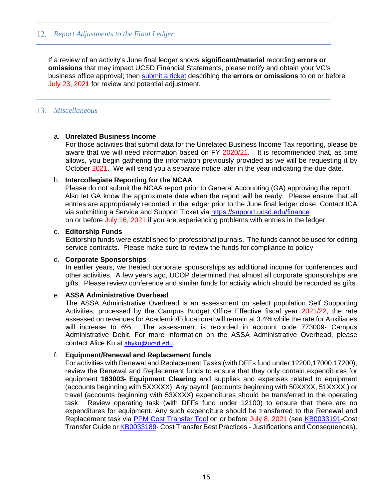## <span id="page-14-0"></span>*Report Adjustments to the Final Ledger*

If a review of an activity's June final ledger shows **significant/material** recording **errors or omissions** that may impact UCSD Financial Statements, please notify and obtain your VC's business office approval; then [submit a ticket](https://support.ucsd.edu/finance?id=sc_cat_item&sys_id=48a60e85dbbb8014dbd6f2b6af961999) describing the **errors or omissions** to on or before July 23, 2021 for review and potential adjustment.

## <span id="page-14-1"></span>*Miscellaneous*

## a. **Unrelated Business Income**

For those activities that submit data for the Unrelated Business Income Tax reporting, please be aware that we will need information based on FY 2020/21. It is recommended that, as time allows, you begin gathering the information previously provided as we will be requesting it by October 2021. We will send you a separate notice later in the year indicating the due date.

### b. **Intercollegiate Reporting for the NCAA**

Please do not submit the NCAA report prior to General Accounting (GA) approving the report. Also let GA know the approximate date when the report will be ready. Please ensure that all entries are appropriately recorded in the ledger prior to the June final ledger close. Contact ICA via submitting a Service and Support Ticket via<https://support.ucsd.edu/finance> on or before July 16, 2021 if you are experiencing problems with entries in the ledger.

### c. **Editorship Funds**

Editorship funds were established for professional journals. The funds cannot be used for editing service contracts. Please make sure to review the funds for compliance to policy

### d. **Corporate Sponsorships**

In earlier years, we treated corporate sponsorships as additional income for conferences and other activities. A few years ago, UCOP determined that almost all corporate sponsorships are gifts. Please review conference and similar funds for activity which should be recorded as gifts.

## e. **ASSA Administrative Overhead**

The ASSA Administrative Overhead is an assessment on select population Self Supporting Activities, processed by the Campus Budget Office. Effective fiscal year 2021/22, the rate assessed on revenues for Academic/Educational will remain at 3.4% while the rate for Auxiliaries will increase to 6%. The assessment is recorded in account code 773009- Campus Administrative Debit. For more information on the ASSA Administrative Overhead, please contact Alice Ku at [ahyku@ucsd.edu.](mailto:ahyku@ucsd.edu)

## f. **Equipment/Renewal and Replacement funds**

For activities with Renewal and Replacement Tasks (with DFFs fund under 12200,17000,17200), review the Renewal and Replacement funds to ensure that they only contain expenditures for equipment **163003- Equipment Clearing** and supplies and expenses related to equipment (accounts beginning with 5XXXXX). Any payroll (accounts beginning with 50XXXX, 51XXXX,) or travel (accounts beginning with 53XXXX) expenditures should be transferred to the operating task. Review operating task (with DFFs fund under 12100) to ensure that there are no expenditures for equipment. Any such expenditure should be transferred to the Renewal and Replacement task via [PPM Cost Transfer Tool](https://support.ucsd.edu/nav_to.do?uri=%2Fkb_view.do%3Fsys_kb_id%3D4671d1391bc4b450df40ed7dee4bcb4d%26sysparm_rank%3D3%26sysparm_tsqueryId%3D956dffc6db407810d4781c791396192d) on or before July 8, 2021 (see [KB0033191-](https://support.ucsd.edu/nav_to.do?uri=%2Fkb_view.do%3Fsys_kb_id%3D53b92c101b487410df40ed7dee4bcbe1%26sysparm_rank%3D1%26sysparm_tsqueryId%3Ddd0d3746db407810d4781c79139619bc)Cost Transfer Guide or **[KB0033189-](https://support.ucsd.edu/nav_to.do?uri=%2Fkb_view.do%3Fsys_kb_id%3D4671d1391bc4b450df40ed7dee4bcb4d%26sysparm_rank%3D3%26sysparm_tsqueryId%3D956dffc6db407810d4781c791396192d) Cost Transfer Best Practices - Justifications and Consequences**).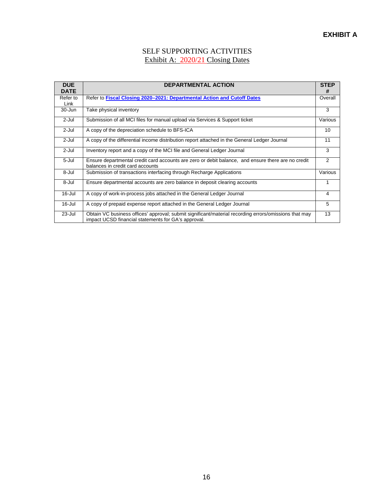## SELF SUPPORTING ACTIVITIES Exhibit A: 2020/21 Closing Dates

<span id="page-15-0"></span>

| <b>DUE</b><br><b>DATE</b> | <b>DEPARTMENTAL ACTION</b>                                                                                                                                   | <b>STEP</b><br># |
|---------------------------|--------------------------------------------------------------------------------------------------------------------------------------------------------------|------------------|
| Refer to<br>Link          | Refer to Fiscal Closing 2020–2021: Departmental Action and Cutoff Dates                                                                                      | Overall          |
| 30-Jun                    | Take physical inventory                                                                                                                                      | 3                |
| 2-Jul                     | Submission of all MCI files for manual upload via Services & Support ticket                                                                                  | Various          |
| 2-Jul                     | A copy of the depreciation schedule to BFS-ICA                                                                                                               | 10               |
| 2-Jul                     | A copy of the differential income distribution report attached in the General Ledger Journal                                                                 | 11               |
| 2-Jul                     | Inventory report and a copy of the MCI file and General Ledger Journal                                                                                       | 3                |
| 5-Jul                     | Ensure departmental credit card accounts are zero or debit balance, and ensure there are no credit<br>balances in credit card accounts                       | $\overline{2}$   |
| 8-Jul                     | Submission of transactions interfacing through Recharge Applications                                                                                         | Various          |
| 8-Jul                     | Ensure departmental accounts are zero balance in deposit clearing accounts                                                                                   | 1                |
| 16-Jul                    | A copy of work-in-process jobs attached in the General Ledger Journal                                                                                        | 4                |
| 16-Jul                    | A copy of prepaid expense report attached in the General Ledger Journal                                                                                      | 5                |
| 23-Jul                    | Obtain VC business offices' approval; submit significant/material recording errors/omissions that may<br>impact UCSD financial statements for GA's approval. | 13               |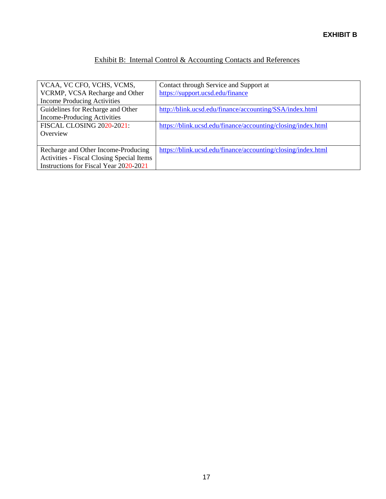# Exhibit B: Internal Control & Accounting Contacts and References

<span id="page-16-0"></span>

| VCAA, VC CFO, VCHS, VCMS,                 | Contact through Service and Support at                       |
|-------------------------------------------|--------------------------------------------------------------|
| VCRMP, VCSA Recharge and Other            | https://support.ucsd.edu/finance                             |
| <b>Income Producing Activities</b>        |                                                              |
| Guidelines for Recharge and Other         | http://blink.ucsd.edu/finance/accounting/SSA/index.html      |
| <b>Income-Producing Activities</b>        |                                                              |
| FISCAL CLOSING 2020-2021:                 | https://blink.ucsd.edu/finance/accounting/closing/index.html |
| Overview                                  |                                                              |
|                                           |                                                              |
| Recharge and Other Income-Producing       | https://blink.ucsd.edu/finance/accounting/closing/index.html |
| Activities - Fiscal Closing Special Items |                                                              |
| Instructions for Fiscal Year 2020-2021    |                                                              |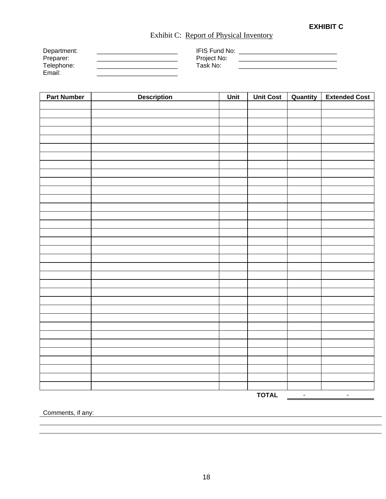# <span id="page-17-0"></span>Exhibit C: Report of Physical Inventory

| Department: | <b>IFIS Fund No:</b> |  |
|-------------|----------------------|--|
| Preparer:   | Project No:          |  |
| Telephone:  | Task No:             |  |
| Email:      |                      |  |

| <b>Part Number</b> | Description | <u>Unit</u> | <b>Unit Cost</b> | Quantity     | <b>Extended Cost</b> |
|--------------------|-------------|-------------|------------------|--------------|----------------------|
|                    |             |             |                  |              |                      |
|                    |             |             |                  |              |                      |
|                    |             |             |                  |              |                      |
|                    |             |             |                  |              |                      |
|                    |             |             |                  |              |                      |
|                    |             |             |                  |              |                      |
|                    |             |             |                  |              |                      |
|                    |             |             |                  |              |                      |
|                    |             |             |                  |              |                      |
|                    |             |             |                  |              |                      |
|                    |             |             |                  |              |                      |
|                    |             |             |                  |              |                      |
|                    |             |             |                  |              |                      |
|                    |             |             |                  |              |                      |
|                    |             |             |                  |              |                      |
|                    |             |             |                  |              |                      |
|                    |             |             |                  |              |                      |
|                    |             |             |                  |              |                      |
|                    |             |             |                  |              |                      |
|                    |             |             |                  |              |                      |
|                    |             |             |                  |              |                      |
|                    |             |             |                  |              |                      |
|                    |             |             |                  |              |                      |
|                    |             |             |                  |              |                      |
|                    |             |             |                  |              |                      |
|                    |             |             |                  |              |                      |
|                    |             |             |                  |              |                      |
|                    |             |             |                  |              |                      |
|                    |             |             |                  |              |                      |
|                    |             |             |                  |              |                      |
|                    |             |             |                  |              |                      |
|                    |             |             |                  |              |                      |
|                    |             |             | <b>TOTAL</b>     | $\mathbb{L}$ | $\mathbb{Z}^2$       |

Comments, if any: example of the state of the state of the state of the state of the state of the state of the state of the state of the state of the state of the state of the state of the state of the state of the state o